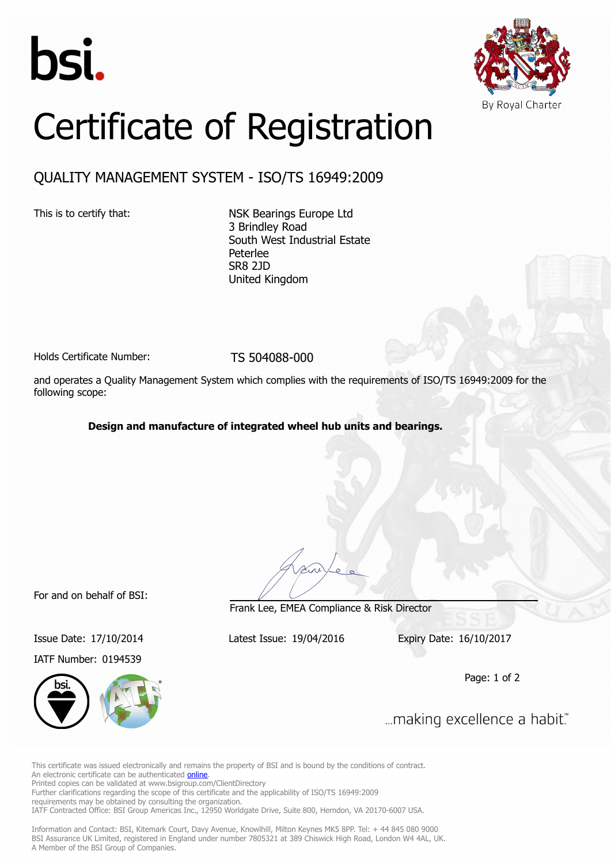



## Certificate of Registration

## QUALITY MANAGEMENT SYSTEM - ISO/TS 16949:2009

This is to certify that: NSK Bearings Europe Ltd 3 Brindley Road South West Industrial Estate Peterlee SR8 2JD United Kingdom

Holds Certificate Number: TS 504088-000

and operates a Quality Management System which complies with the requirements of ISO/TS 16949:2009 for the following scope:

**Design and manufacture of integrated wheel hub units and bearings.**

For and on behalf of BSI:

IATF Number: 0194539



Frank Lee, EMEA Compliance & Risk Director

Issue Date: 17/10/2014 Latest Issue: 19/04/2016 Expiry Date: 16/10/2017

Page: 1 of 2

... making excellence a habit."

This certificate was issued electronically and remains the property of BSI and is bound by the conditions of contract. An electronic certificate can be authenticated **[online](https://pgplus.bsigroup.com/CertificateValidation/CertificateValidator.aspx?CertificateNumber=TS+504088-000&ReIssueDate=19%2f04%2f2016&Template=uk)**. Printed copies can be validated at www.bsigroup.com/ClientDirectory Further clarifications regarding the scope of this certificate and the applicability of ISO/TS 16949:2009 requirements may be obtained by consulting the organization.

IATF Contracted Office: BSI Group Americas Inc., 12950 Worldgate Drive, Suite 800, Herndon, VA 20170-6007 USA.

Information and Contact: BSI, Kitemark Court, Davy Avenue, Knowlhill, Milton Keynes MK5 8PP. Tel: + 44 845 080 9000 BSI Assurance UK Limited, registered in England under number 7805321 at 389 Chiswick High Road, London W4 4AL, UK. A Member of the BSI Group of Companies.